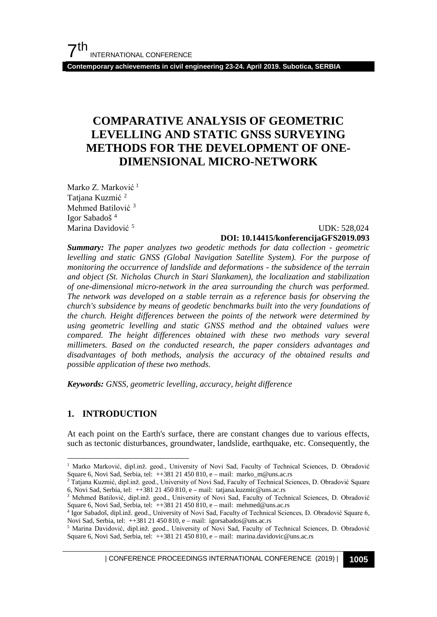**Contemporary achievements in civil engineering 23-24. April 2019. Subotica, SERBIA**

## **COMPARATIVE ANALYSIS OF GEOMETRIC LEVELLING AND STATIC GNSS SURVEYING METHODS FOR THE DEVELOPMENT OF ONE-DIMENSIONAL MICRO-NETWORK**

Marko Z. Marković<sup>[1](#page-0-0)</sup> Tatjana Kuzmić<sup>[2](#page-0-1)</sup> Mehmed Batilović<sup>[3](#page-0-2)</sup> Igor Sabadoš<sup>[4](#page-0-3)</sup> Marina Davidović [5](#page-0-4)

#### UDK: 528,024 **DOI: 10.14415/konferencijaGFS2019.093**

*Summary: The paper analyzes two geodetic methods for data collection - geometric levelling and static GNSS (Global Navigation Satellite System). For the purpose of monitoring the occurrence of landslide and deformations - the subsidence of the terrain and object (St. Nicholas Church in Stari Slankamen), the localization and stabilization of one-dimensional micro-network in the area surrounding the church was performed. The network was developed on a stable terrain as a reference basis for observing the church's subsidence by means of geodetic benchmarks built into the very foundations of the church. Height differences between the points of the network were determined by using geometric levelling and static GNSS method and the obtained values were compared. The height differences obtained with these two methods vary several millimeters. Based on the conducted research, the paper considers advantages and disadvantages of both methods, analysis the accuracy of the obtained results and possible application of these two methods.*

*Keywords: GNSS, geometric levelling, accuracy, height difference*

### **1. INTRODUCTION**

At each point on the Earth's surface, there are constant changes due to various effects, such as tectonic disturbances, groundwater, landslide, earthquake, etc. Consequently, the

| CONFERENCE PROCEEDINGS INTERNATIONAL CONFERENCE (2019) <sup>|</sup>**1005**

<span id="page-0-0"></span><sup>&</sup>lt;sup>1</sup> Marko Marković, dipl.inž. geod., University of Novi Sad, Faculty of Technical Sciences, D. Obradović Square 6, Novi Sad, Serbia, tel: ++381 21 450 810, e – mail: marko\_m@uns.ac.rs

<span id="page-0-1"></span><sup>2</sup> Tatjana Kuzmić, dipl.inž. geod., University of Novi Sad, Faculty of Technical Sciences, D. Obradović Square 6, Novi Sad, Serbia, tel: ++381 21 450 810, e – mail: tatjana.kuzmic@uns.ac.rs

<span id="page-0-2"></span><sup>3</sup> Mehmed Batilović, dipl.inž. geod., University of Novi Sad, Faculty of Technical Sciences, D. Obradović Square 6, Novi Sad, Serbia, tel: ++381 21 450 810, e – mail: mehmed@uns.ac.rs

<span id="page-0-3"></span><sup>4</sup> Igor Sabadoš, dipl.inž. geod., University of Novi Sad, Faculty of Technical Sciences, D. Obradović Square 6, Novi Sad, Serbia, tel: ++381 21 450 810, e – mail: igorsabados@uns.ac.rs

<span id="page-0-4"></span><sup>5</sup> Marina Davidović, dipl.inž. geod., University of Novi Sad, Faculty of Technical Sciences, D. Obradović Square 6, Novi Sad, Serbia, tel: ++381 21 450 810, e – mail: marina.davidovic@uns.ac.rs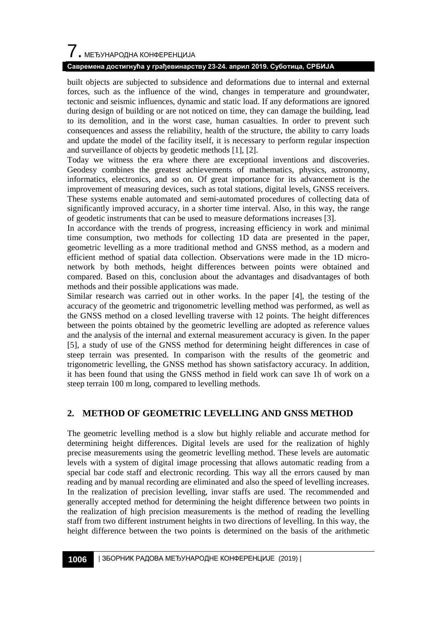# $\overline{\phantom{a}}$ . МЕЂУНАРОДНА КОНФЕРЕНЦИЈА

### **Савремена достигнућа у грађевинарству 23-24. април 2019. Суботица, СРБИЈА**

built objects are subjected to subsidence and deformations due to internal and external forces, such as the influence of the wind, changes in temperature and groundwater, tectonic and seismic influences, dynamic and static load. If any deformations are ignored during design of building or are not noticed on time, they can damage the building, lead to its demolition, and in the worst case, human casualties. In order to prevent such consequences and assess the reliability, health of the structure, the ability to carry loads and update the model of the facility itself, it is necessary to perform regular inspection and surveillance of objects by geodetic methods [1], [2].

Today we witness the era where there are exceptional inventions and discoveries. Geodesy combines the greatest achievements of mathematics, physics, astronomy, informatics, electronics, and so on. Of great importance for its advancement is the improvement of measuring devices, such as total stations, digital levels, GNSS receivers. These systems enable automated and semi-automated procedures of collecting data of significantly improved accuracy, in a shorter time interval. Also, in this way, the range of geodetic instruments that can be used to measure deformations increases [3].

In accordance with the trends of progress, increasing efficiency in work and minimal time consumption, two methods for collecting 1D data are presented in the paper, geometric levelling as a more traditional method and GNSS method, as a modern and efficient method of spatial data collection. Observations were made in the 1D micronetwork by both methods, height differences between points were obtained and compared. Based on this, conclusion about the advantages and disadvantages of both methods and their possible applications was made.

Similar research was carried out in other works. In the paper [4], the testing of the accuracy of the geometric and trigonometric levelling method was performed, as well as the GNSS method on a closed levelling traverse with 12 points. The height differences between the points obtained by the geometric levelling are adopted as reference values and the analysis of the internal and external measurement accuracy is given. In the paper [5], a study of use of the GNSS method for determining height differences in case of steep terrain was presented. In comparison with the results of the geometric and trigonometric levelling, the GNSS method has shown satisfactory accuracy. In addition, it has been found that using the GNSS method in field work can save 1h of work on a steep terrain 100 m long, compared to levelling methods.

## **2. METHOD OF GEOMETRIC LEVELLING AND GNSS METHOD**

The geometric levelling method is a slow but highly reliable and accurate method for determining height differences. Digital levels are used for the realization of highly precise measurements using the geometric levelling method. These levels are automatic levels with a system of digital image processing that allows automatic reading from a special bar code staff and electronic recording. This way all the errors caused by man reading and by manual recording are eliminated and also the speed of levelling increases. In the realization of precision levelling, invar staffs are used. The recommended and generally accepted method for determining the height difference between two points in the realization of high precision measurements is the method of reading the levelling staff from two different instrument heights in two directions of levelling. In this way, the height difference between the two points is determined on the basis of the arithmetic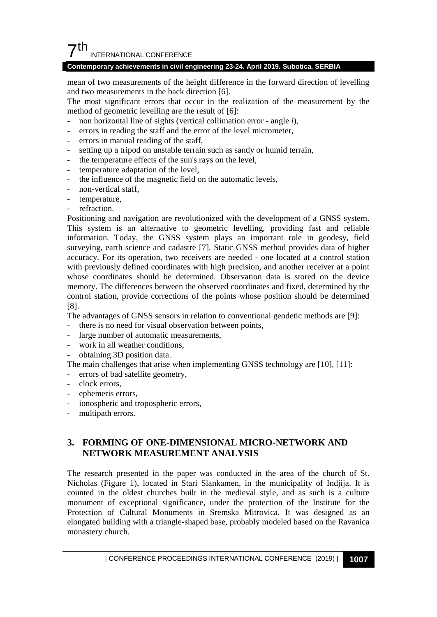## $7<sup>th</sup>$ INTERNATIONAL CONFERENCE

#### **Contemporary achievements in civil engineering 23-24. April 2019. Subotica, SERBIA**

mean of two measurements of the height difference in the forward direction of levelling and two measurements in the back direction [6].

The most significant errors that occur in the realization of the measurement by the method of geometric levelling are the result of [6]:

- non horizontal line of sights (vertical collimation error angle *i*),
- errors in reading the staff and the error of the level micrometer,
- errors in manual reading of the staff,
- setting up a tripod on unstable terrain such as sandy or humid terrain,
- the temperature effects of the sun's rays on the level,
- temperature adaptation of the level,
- the influence of the magnetic field on the automatic levels,
- non-vertical staff,
- temperature,
- refraction.

Positioning and navigation are revolutionized with the development of a GNSS system. This system is an alternative to geometric levelling, providing fast and reliable information. Today, the GNSS system plays an important role in geodesy, field surveying, earth science and cadastre [7]. Static GNSS method provides data of higher accuracy. For its operation, two receivers are needed - one located at a control station with previously defined coordinates with high precision, and another receiver at a point whose coordinates should be determined. Observation data is stored on the device memory. The differences between the observed coordinates and fixed, determined by the control station, provide corrections of the points whose position should be determined [8].

The advantages of GNSS sensors in relation to conventional geodetic methods are [9]:

- there is no need for visual observation between points,
- large number of automatic measurements,
- work in all weather conditions,
- obtaining 3D position data.

The main challenges that arise when implementing GNSS technology are [10], [11]:

- errors of bad satellite geometry,
- clock errors.
- ephemeris errors,
- ionospheric and tropospheric errors,
- multipath errors.

## **3. FORMING OF ONE-DIMENSIONAL MICRO-NETWORK AND NETWORK MEASUREMENT ANALYSIS**

The research presented in the paper was conducted in the area of the church of St. Nicholas (Figure 1), located in Stari Slankamen, in the municipality of Indjija. It is counted in the oldest churches built in the medieval style, and as such is a culture monument of exceptional significance, under the protection of the Institute for the Protection of Cultural Monuments in Sremska Mitrovica. It was designed as an elongated building with a triangle-shaped base, probably modeled based on the Ravanica monastery church.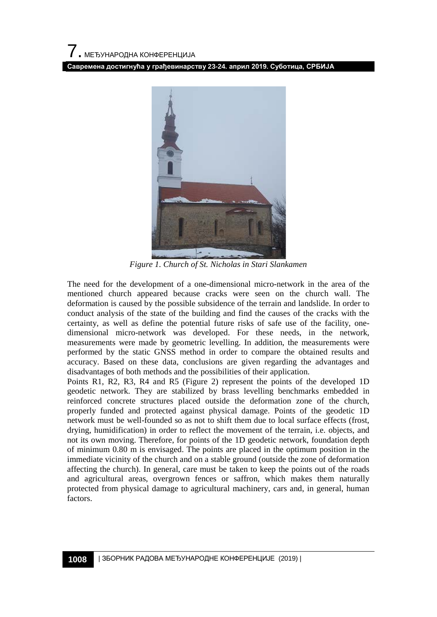**Савремена достигнућа у грађевинарству 23-24. април 2019. Суботица, СРБИЈА**



*Figure 1. Church of St. Nicholas in Stari Slankamen*

The need for the development of a one-dimensional micro-network in the area of the mentioned church appeared because cracks were seen on the church wall. The deformation is caused by the possible subsidence of the terrain and landslide. In order to conduct analysis of the state of the building and find the causes of the cracks with the certainty, as well as define the potential future risks of safe use of the facility, onedimensional micro-network was developed. For these needs, in the network, measurements were made by geometric levelling. In addition, the measurements were performed by the static GNSS method in order to compare the obtained results and accuracy. Based on these data, conclusions are given regarding the advantages and disadvantages of both methods and the possibilities of their application.

Points R1, R2, R3, R4 and R5 (Figure 2) represent the points of the developed 1D geodetic network. They are stabilized by brass levelling benchmarks embedded in reinforced concrete structures placed outside the deformation zone of the church, properly funded and protected against physical damage. Points of the geodetic 1D network must be well-founded so as not to shift them due to local surface effects (frost, drying, humidification) in order to reflect the movement of the terrain, i.e. objects, and not its own moving. Therefore, for points of the 1D geodetic network, foundation depth of minimum 0.80 m is envisaged. The points are placed in the optimum position in the immediate vicinity of the church and on a stable ground (outside the zone of deformation affecting the church). In general, care must be taken to keep the points out of the roads and agricultural areas, overgrown fences or saffron, which makes them naturally protected from physical damage to agricultural machinery, cars and, in general, human factors.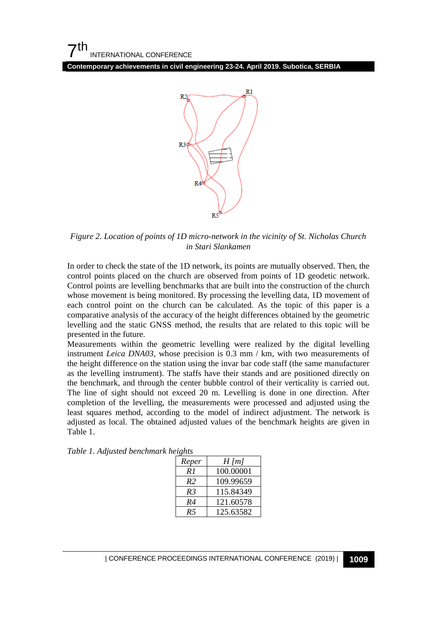**Contemporary achievements in civil engineering 23-24. April 2019. Subotica, SERBIA**



*Figure 2. Location of points of 1D micro-network in the vicinity of St. Nicholas Church in Stari Slankamen*

In order to check the state of the 1D network, its points are mutually observed. Then, the control points placed on the church are observed from points of 1D geodetic network. Control points are levelling benchmarks that are built into the construction of the church whose movement is being monitored. By processing the levelling data, 1D movement of each control point on the church can be calculated. As the topic of this paper is a comparative analysis of the accuracy of the height differences obtained by the geometric levelling and the static GNSS method, the results that are related to this topic will be presented in the future.

Measurements within the geometric levelling were realized by the digital levelling instrument *Leica DNA03*, whose precision is 0.3 mm / km, with two measurements of the height difference on the station using the invar bar code staff (the same manufacturer as the levelling instrument). The staffs have their stands and are positioned directly on the benchmark, and through the center bubble control of their verticality is carried out. The line of sight should not exceed 20 m. Levelling is done in one direction. After completion of the levelling, the measurements were processed and adjusted using the least squares method, according to the model of indirect adjustment. The network is adjusted as local. The obtained adjusted values of the benchmark heights are given in Table 1.

| Reper          | $H$ [m]   |
|----------------|-----------|
| R 1            | 100.00001 |
| R <sub>2</sub> | 109.99659 |
| R <sub>3</sub> | 115.84349 |
| R4             | 121.60578 |
| R5             | 125.63582 |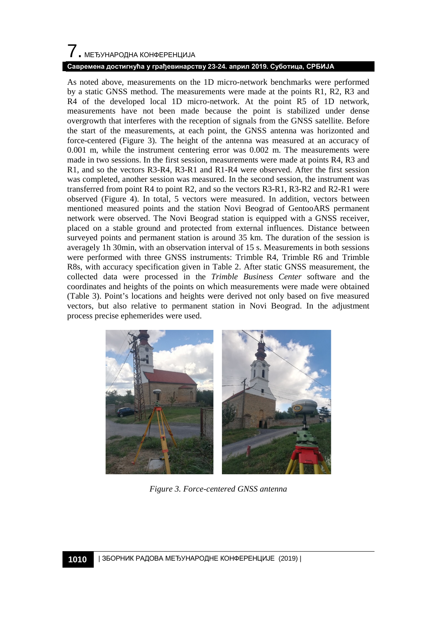# 7. МЕЂУНАРОДНА КОНФЕРЕНЦИЈА

#### **Савремена достигнућа у грађевинарству 23-24. април 2019. Суботица, СРБИЈА**

As noted above, measurements on the 1D micro-network benchmarks were performed by a static GNSS method. The measurements were made at the points R1, R2, R3 and R4 of the developed local 1D micro-network. At the point R5 of 1D network, measurements have not been made because the point is stabilized under dense overgrowth that interferes with the reception of signals from the GNSS satellite. Before the start of the measurements, at each point, the GNSS antenna was horizonted and force-centered (Figure 3). The height of the antenna was measured at an accuracy of 0.001 m, while the instrument centering error was 0.002 m. The measurements were made in two sessions. In the first session, measurements were made at points R4, R3 and R1, and so the vectors R3-R4, R3-R1 and R1-R4 were observed. After the first session was completed, another session was measured. In the second session, the instrument was transferred from point R4 to point R2, and so the vectors R3-R1, R3-R2 and R2-R1 were observed (Figure 4). In total, 5 vectors were measured. In addition, vectors between mentioned measured points and the station Novi Beograd of GentooARS permanent network were observed. The Novi Beograd station is equipped with a GNSS receiver, placed on a stable ground and protected from external influences. Distance between surveyed points and permanent station is around 35 km. The duration of the session is averagely 1h 30min, with an observation interval of 15 s. Measurements in both sessions were performed with three GNSS instruments: Trimble R4, Trimble R6 and Trimble R8s, with accuracy specification given in Table 2. After static GNSS measurement, the collected data were processed in the *Trimble Business Center* software and the coordinates and heights of the points on which measurements were made were obtained (Table 3). Point's locations and heights were derived not only based on five measured vectors, but also relative to permanent station in Novi Beograd. In the adjustment process precise ephemerides were used.



*Figure 3. Force-centered GNSS antenna*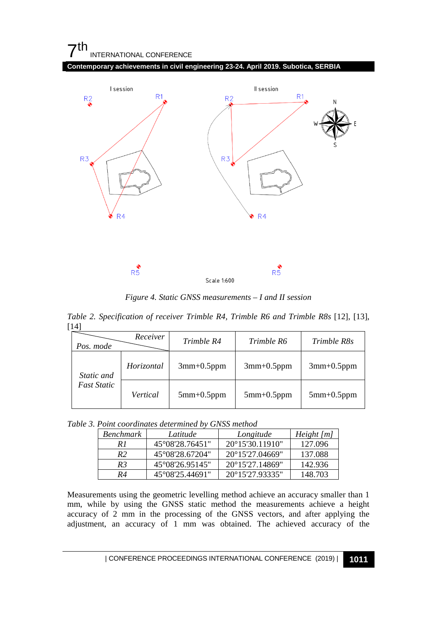## $7<sup>th</sup>$ INTERNATIONAL CONFERENCE

**Contemporary achievements in civil engineering 23-24. April 2019. Subotica, SERBIA**



*Figure 4. Static GNSS measurements – I and II session*

*Table 2. Specification of receiver Trimble R4, Trimble R6 and Trimble R8s* [12], [13], [14]

| Pos. mode                        | Receiver   | Trimble R4        | Trimble R6        | Trimble R8s  |
|----------------------------------|------------|-------------------|-------------------|--------------|
| Static and<br><b>Fast Static</b> | Horizontal | $3mm+0.5ppm$      | $3mm+0.5ppm$      | $3mm+0.5ppm$ |
|                                  | Vertical   | $5$ mm $+0.5$ ppm | $5$ mm $+0.5$ ppm | $5mm+0.5ppm$ |

| Table 3. Point coordinates determined by GNSS method |  |  |  |
|------------------------------------------------------|--|--|--|
|------------------------------------------------------|--|--|--|

| Benchmark      | Latitude        | Longitude                 | Height [m] |
|----------------|-----------------|---------------------------|------------|
| R I            | 45°08′28.76451″ | $20^{\circ}15'30.11910''$ | 127.096    |
| R <sub>2</sub> | 45°08′28.67204″ | 20°15'27.04669"           | 137.088    |
| R3             | 45°08′26.95145″ | 20°15'27.14869"           | 142.936    |
| R4             | 45°08′25.44691″ | 20°15'27.93335"           | 148.703    |

Measurements using the geometric levelling method achieve an accuracy smaller than 1 mm, while by using the GNSS static method the measurements achieve a height accuracy of 2 mm in the processing of the GNSS vectors, and after applying the adjustment, an accuracy of 1 mm was obtained. The achieved accuracy of the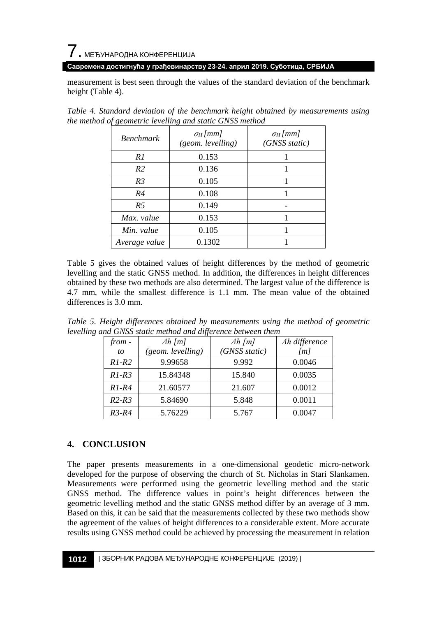## $\overline{7}$ . МЕЂУНАРОДНА КОНФЕРЕНЦИЈА

#### **Савремена достигнућа у грађевинарству 23-24. април 2019. Суботица, СРБИЈА**

measurement is best seen through the values of the standard deviation of the benchmark height (Table 4).

| <b>Benchmark</b> | $\sigma_H$ [mm]<br>(geom. levelling) | $\sigma_H$ [mm]<br>(GNSS static) |
|------------------|--------------------------------------|----------------------------------|
| R1               | 0.153                                |                                  |
| R <sub>2</sub>   | 0.136                                |                                  |
| R <sub>3</sub>   | 0.105                                |                                  |
| R4               | 0.108                                |                                  |
| R <sub>5</sub>   | 0.149                                |                                  |
| Max. value       | 0.153                                |                                  |
| Min. value       | 0.105                                |                                  |
| Average value    | 0.1302                               |                                  |

*Table 4. Standard deviation of the benchmark height obtained by measurements using the method of geometric levelling and static GNSS method*

Table 5 gives the obtained values of height differences by the method of geometric levelling and the static GNSS method. In addition, the differences in height differences obtained by these two methods are also determined. The largest value of the difference is 4.7 mm, while the smallest difference is 1.1 mm. The mean value of the obtained differences is 3.0 mm.

*Table 5. Height differences obtained by measurements using the method of geometric levelling and GNSS static method and difference between them*

| from -  | $\Delta h$ [m]    | $\Delta h$ [m] | $\Delta h$ difference |
|---------|-------------------|----------------|-----------------------|
| to      | (geom. levelling) | (GNSS static)  | [m]                   |
| $R1-R2$ | 9.99658           | 9.992          | 0.0046                |
| $R1-R3$ | 15.84348          | 15.840         | 0.0035                |
| $R1-R4$ | 21.60577          | 21.607         | 0.0012                |
| $R2-R3$ | 5.84690           | 5.848          | 0.0011                |
| $R3-R4$ | 5.76229           | 5.767          | 0.0047                |

## **4. CONCLUSION**

The paper presents measurements in a one-dimensional geodetic micro-network developed for the purpose of observing the church of St. Nicholas in Stari Slankamen. Measurements were performed using the geometric levelling method and the static GNSS method. The difference values in point's height differences between the geometric levelling method and the static GNSS method differ by an average of 3 mm. Based on this, it can be said that the measurements collected by these two methods show the agreement of the values of height differences to a considerable extent. More accurate results using GNSS method could be achieved by processing the measurement in relation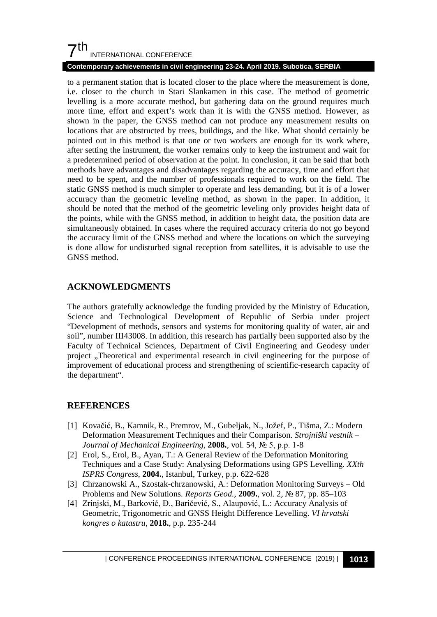## $7<sup>th</sup>$ INTERNATIONAL CONFERENCE

#### **Contemporary achievements in civil engineering 23-24. April 2019. Subotica, SERBIA**

to a permanent station that is located closer to the place where the measurement is done, i.e. closer to the church in Stari Slankamen in this case. The method of geometric levelling is a more accurate method, but gathering data on the ground requires much more time, effort and expert's work than it is with the GNSS method. However, as shown in the paper, the GNSS method can not produce any measurement results on locations that are obstructed by trees, buildings, and the like. What should certainly be pointed out in this method is that one or two workers are enough for its work where, after setting the instrument, the worker remains only to keep the instrument and wait for a predetermined period of observation at the point. In conclusion, it can be said that both methods have advantages and disadvantages regarding the accuracy, time and effort that need to be spent, and the number of professionals required to work on the field. The static GNSS method is much simpler to operate and less demanding, but it is of a lower accuracy than the geometric leveling method, as shown in the paper. In addition, it should be noted that the method of the geometric leveling only provides height data of the points, while with the GNSS method, in addition to height data, the position data are simultaneously obtained. In cases where the required accuracy criteria do not go beyond the accuracy limit of the GNSS method and where the locations on which the surveying is done allow for undisturbed signal reception from satellites, it is advisable to use the GNSS method.

### **ACKNOWLEDGMENTS**

The authors gratefully acknowledge the funding provided by the Ministry of Education, Science and Technological Development of Republic of Serbia under project "Development of methods, sensors and systems for monitoring quality of water, air and soil", number III43008. In addition, this research has partially been supported also by the Faculty of Technical Sciences, Department of Civil Engineering and Geodesy under project ,,Theoretical and experimental research in civil engineering for the purpose of improvement of educational process and strengthening of scientific-research capacity of the department".

### **REFERENCES**

- [1] Kovačić, B., Kamnik, R., Premrov, M., Gubeljak, N., Jožef, P., Tišma, Z.: Modern Deformation Measurement Techniques and their Comparison. *Strojniški vestnik – Journal of Mechanical Engineering*, **2008.**, vol. 54, № 5, p.p. 1-8
- [2] Erol, S., Erol, B., Ayan, T.: A General Review of the Deformation Monitoring Techniques and a Case Study: Analysing Deformations using GPS Levelling. *XXth ISPRS Congress*, **2004.**, Istanbul, Turkey, p.p. 622-628
- [3] Chrzanowski A., Szostak-chrzanowski, A.: Deformation Monitoring Surveys Old Problems and New Solutions. *Reports Geod.*, **2009.**, vol. 2, № 87, pp. 85–103
- [4] Zrinjski, M., Barković, Đ., Baričević, S., Alaupović, L.: Accuracy Analysis of Geometric, Trigonometric and GNSS Height Difference Levelling. *VI hrvatski kongres o katastru*, **2018.**, p.p. 235-244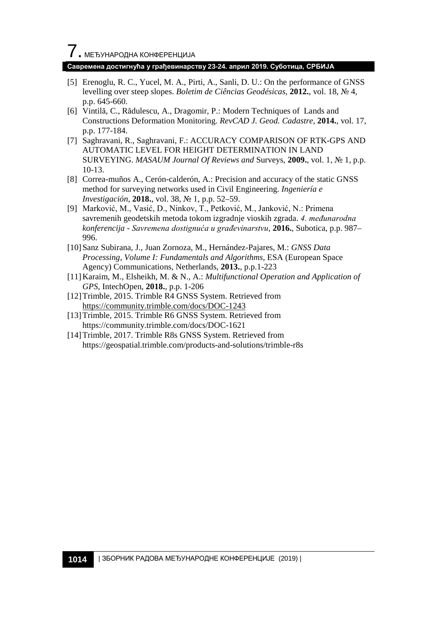#### **Савремена достигнућа у грађевинарству 23-24. април 2019. Суботица, СРБИЈА**

- [5] Erenoglu, R. C., Yucel, M. A., Pirti, A., Sanli, D. U.: On the performance of GNSS levelling over steep slopes. *Boletim de Ciências Geodésicas*, **2012.**, vol. 18, № 4, p.p. 645-660.
- [6] Vintilă, C., Rădulescu, A., Dragomir, P.: Modern Techniques of Lands and Constructions Deformation Monitoring. *RevCAD J. Geod. Cadastre*, **2014.**, vol. 17, p.p. 177-184.
- [7] Saghravani, R., Saghravani, F.: ACCURACY COMPARISON OF RTK-GPS AND AUTOMATIC LEVEL FOR HEIGHT DETERMINATION IN LAND SURVEYING. *MASAUM Journal Of Reviews and* Surveys, **2009.**, vol. 1, № 1, p.p. 10-13.
- [8] Correa-muños A., Cerón-calderón, A.: Precision and accuracy of the static GNSS method for surveying networks used in Civil Engineering. *Ingeniería e Investigación,* **2018.**, vol. 38, № 1, p.p. 52–59.
- [9] Marković, M., Vasić, D., Ninkov, T., Petković, M., Janković, N.: Primena savremenih geodetskih metoda tokom izgradnje vioskih zgrada. *4. međunarodna konferencija - Savremena dostignuća u građevinarstvu*, **2016.**, Subotica, p.p. 987– 996.
- [10]Sanz Subirana, J., Juan Zornoza, M., Hernández-Pajares, M.: *GNSS Data Processing, Volume I: Fundamentals and Algorithms,* ESA (European Space Agency) Communications, Netherlands, **2013.**, p.p.1-223
- [11]Karaim, M., Elsheikh, M. & N., A.: *Multifunctional Operation and Application of GPS*, IntechOpen, **2018.**, p.p. 1-206
- [12]Trimble, 2015. Trimble R4 GNSS System. Retrieved from <https://community.trimble.com/docs/DOC-1243>
- [13]Trimble, 2015. Trimble R6 GNSS System. Retrieved from https://community.trimble.com/docs/DOC-1621
- [14] Trimble, 2017. Trimble R8s GNSS System. Retrieved from https://geospatial.trimble.com/products-and-solutions/trimble-r8s